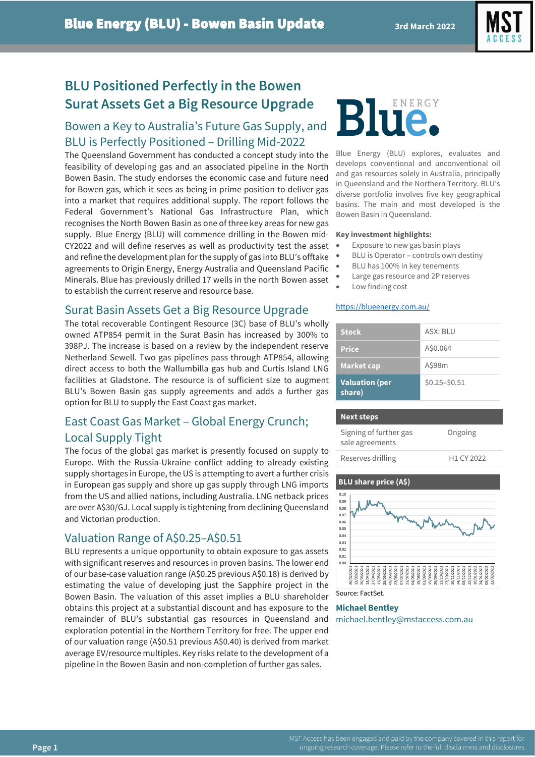

## **BLU Positioned Perfectly in the Bowen Surat Assets Get a Big Resource Upgrade**

## Bowen a Key to Australia's Future Gas Supply, and BLU is Perfectly Positioned – Drilling Mid-2022

The Queensland Government has conducted a concept study into the feasibility of developing gas and an associated pipeline in the North Bowen Basin. The study endorses the economic case and future need for Bowen gas, which it sees as being in prime position to deliver gas into a market that requires additional supply. The report follows the Federal Government's National Gas Infrastructure Plan, which recognises the North Bowen Basin as one of three key areas for new gas supply. Blue Energy (BLU) will commence drilling in the Bowen mid-CY2022 and will define reserves as well as productivity test the asset and refine the development plan for the supply of gas into BLU's offtake agreements to Origin Energy, Energy Australia and Queensland Pacific Minerals. Blue has previously drilled 17 wells in the north Bowen asset to establish the current reserve and resource base.

## Surat Basin Assets Get a Big Resource Upgrade

The total recoverable Contingent Resource (3C) base of BLU's wholly owned ATP854 permit in the Surat Basin has increased by 300% to 398PJ. The increase is based on a review by the independent reserve Netherland Sewell. Two gas pipelines pass through ATP854, allowing direct access to both the Wallumbilla gas hub and Curtis Island LNG facilities at Gladstone. The resource is of sufficient size to augment BLU's Bowen Basin gas supply agreements and adds a further gas option for BLU to supply the East Coast gas market.

## East Coast Gas Market – Global Energy Crunch; Local Supply Tight

The focus of the global gas market is presently focused on supply to Europe. With the Russia-Ukraine conflict adding to already existing supply shortages in Europe, the US is attempting to avert a further crisis in European gas supply and shore up gas supply through LNG imports from the US and allied nations, including Australia. LNG netback prices are over A\$30/GJ. Local supply is tightening from declining Queensland and Victorian production.

## Valuation Range of A\$0.25–A\$0.51

BLU represents a unique opportunity to obtain exposure to gas assets with significant reserves and resources in proven basins. The lower end of our base-case valuation range (A\$0.25 previous A\$0.18) is derived by estimating the value of developing just the Sapphire project in the Bowen Basin. The valuation of this asset implies a BLU shareholder obtains this project at a substantial discount and has exposure to the remainder of BLU's substantial gas resources in Queensland and exploration potential in the Northern Territory for free. The upper end of our valuation range (A\$0.51 previous A\$0.40) is derived from market average EV/resource multiples. Key risks relate to the development of a pipeline in the Bowen Basin and non-completion of further gas sales.

# Blue

Blue Energy (BLU) explores, evaluates and develops conventional and unconventional oil and gas resources solely in Australia, principally in Queensland and the Northern Territory. BLU's diverse portfolio involves five key geographical basins. The main and most developed is the Bowen Basin in Queensland.

#### **Key investment highlights:**

- Exposure to new gas basin plays
- BLU is Operator controls own destiny
- BLU has 100% in key tenements
- Large gas resource and 2P reserves
- Low finding cost

#### <https://blueenergy.com.au/>

| <b>Stock</b>                    | ASX: BLU        |
|---------------------------------|-----------------|
| <b>Price</b>                    | A\$0.064        |
| <b>Market cap</b>               | A\$98m          |
| <b>Valuation (per</b><br>share) | $$0.25 - $0.51$ |

| <b>Next steps</b>                         |                        |
|-------------------------------------------|------------------------|
| Signing of further gas<br>sale agreements | Ongoing                |
| Reserves drilling                         | H <sub>1</sub> CY 2022 |



Source: FactSet.

## **Michael Bentley**

michael.bentley@mstaccess.com.au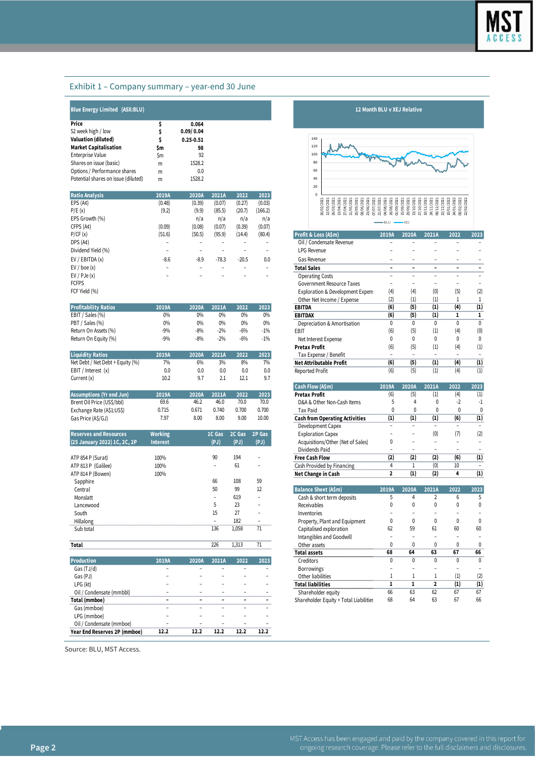### Exhibit 1 – Company summary – year-end 30 June

| lue Energy Limited(ASX:BLU |  |
|----------------------------|--|

| Price                               | \$  | 0.064         |  |
|-------------------------------------|-----|---------------|--|
| 52 week high / low                  | s   | 0.09/0.04     |  |
| <b>Valuation (diluted)</b>          | S   | $0.25 - 0.51$ |  |
| <b>Market Capitalisation</b>        | \$m | 98            |  |
| <b>Enterprise Value</b>             | \$m | 92            |  |
| Shares on issue (basic)             | m   | 1528.2        |  |
| Options / Performance shares        | m   | 0.0           |  |
| Potential shares on issue (diluted) | m   | 1528.2        |  |

| <b>Ratio Analysis</b> | 2019A  | 2020A  | 2021A   | 2022    | 2023    |                                     |  |  |  |  |  |          |                              |       |                  |     |                                                                                                                                                                                                                  |      |
|-----------------------|--------|--------|---------|---------|---------|-------------------------------------|--|--|--|--|--|----------|------------------------------|-------|------------------|-----|------------------------------------------------------------------------------------------------------------------------------------------------------------------------------------------------------------------|------|
| EPS (A¢)              | (0.48) | (0.39) | (0.07)  | (0.27)  | (0.03)  |                                     |  |  |  |  |  |          |                              |       | <b>DESERVADO</b> |     |                                                                                                                                                                                                                  |      |
| P/E(x)                | (9.2)  | (9.9)  | (85.5)  | (20.7)  | (166.2) |                                     |  |  |  |  |  |          |                              |       | ਜ<br>ã<br>ដូងខេត |     | $\frac{1}{2}$<br>$\frac{1}{2}$<br>$\frac{1}{2}$<br>$\frac{1}{2}$<br>$\frac{1}{2}$<br>$\frac{1}{2}$<br>$\frac{1}{2}$<br><br>$\frac{1}{2}$<br><br><br><br><br><br><br><br><br><br><br><br><br><br><br><br><br><br> |      |
| EPS Growth (%)        |        | n/a    | n/a     | n/a     | n/a     |                                     |  |  |  |  |  |          |                              |       |                  |     |                                                                                                                                                                                                                  |      |
| CFPS (A¢)             | (0.09) | (0.08) | (0.07)  | (0.39)  | (0.07)  |                                     |  |  |  |  |  |          | $-BLU$ $\longrightarrow$ XEJ |       |                  |     |                                                                                                                                                                                                                  |      |
| P/CF(x)               | (51.6) | (50.5) | (95.9)  | (14.4)  | (80.4)  | Profit & Loss (A\$m)                |  |  |  |  |  | 2019A    |                              | 2020A | 2021A            |     | 2022                                                                                                                                                                                                             | 2023 |
| DPS (A¢)              |        |        |         |         |         | Oil / Condensate Revenue            |  |  |  |  |  |          |                              |       |                  |     |                                                                                                                                                                                                                  |      |
| Dividend Yield (%)    |        |        |         |         |         | <b>LPG Revenue</b>                  |  |  |  |  |  |          |                              |       |                  |     |                                                                                                                                                                                                                  |      |
| EV / EBITDA(x)        | $-8.6$ | $-8.9$ | $-78.3$ | $-20.5$ | 0.0     | Gas Revenue                         |  |  |  |  |  |          |                              |       |                  |     |                                                                                                                                                                                                                  |      |
| EV / boe(x)           |        |        |         |         |         | <b>Total Sales</b>                  |  |  |  |  |  |          |                              |       |                  |     |                                                                                                                                                                                                                  |      |
| EV / PJe(x)           |        |        |         |         |         | <b>Operating Costs</b>              |  |  |  |  |  |          |                              |       |                  |     |                                                                                                                                                                                                                  |      |
| <b>FCFPS</b>          |        |        |         |         |         | Government Resource Taxes           |  |  |  |  |  |          |                              |       |                  |     |                                                                                                                                                                                                                  |      |
| FCF Vield (%)         |        |        |         |         |         | Exploration & Development Expension |  |  |  |  |  | $\Delta$ |                              | (4)   |                  | (n) | (5)                                                                                                                                                                                                              | (2)  |

|                       |       |       |       |       |        |                             |    | .   | --- |     |     |
|-----------------------|-------|-------|-------|-------|--------|-----------------------------|----|-----|-----|-----|-----|
| Profitability Ratios  | 2019A | 2020A | 2021A | 2022  | 2023   | <b>EBITDA</b>               | ៲៰ |     |     | 14  | (1  |
| ' Sales (%)<br>EBIT / | 0%    | 0%    | 0%    | 0%    | 0%     | EBITDAX                     | 16 |     |     |     |     |
| PBT/<br>Sales (%)     | 9%    | 0%    | 0%    | 0%    | 0%     | Depreciation & Amortisation |    |     |     |     |     |
| Return On Assets (%)  | $-9%$ | $-8%$ | $-2%$ | $-6%$ | $-1\%$ | EBIT                        |    | Ιг. |     | (4) | (0) |
| Return On Equity (%)  |       | $-8%$ | $-2%$ | $-6%$ | $-1%$  | Net Interest Expense        |    |     |     |     |     |

|                                  |       |       |       |      |                | .                                                                                                               |    |                          |                          | .          |
|----------------------------------|-------|-------|-------|------|----------------|-----------------------------------------------------------------------------------------------------------------|----|--------------------------|--------------------------|------------|
| <b>Liquidity Ratios</b>          | 2019/ | 2020A | 2021A | 2022 | 2023           | Tax Expense / Benefit                                                                                           |    | $\overline{\phantom{a}}$ | $\overline{\phantom{a}}$ |            |
| Net Debt / Net Debt + Equity (%) | 0/4   | 6%    | 3%    | 8%   | 7%             | Net Attributable Profit                                                                                         | 16 |                          | 14                       | $\bf{(1)}$ |
| EBIT /<br>Interest (x)           | 0.0   | 0.0   | 0.0   | 0.0  | 0.0            | Reported Profit                                                                                                 |    |                          |                          | 1          |
| Current $(x)$                    | 10.2  |       |       | 12.1 | Q <sub>7</sub> |                                                                                                                 |    |                          |                          |            |
|                                  |       |       |       |      |                | the contract of the contract of the contract of the contract of the contract of the contract of the contract of |    |                          |                          |            |

| Assumptions                | 019A     | 2020/ | 2021/ | 2022  | 2023  | ∵Profit                                    | (6) | וכו | (4) | $\scriptstyle{(1)}$ |
|----------------------------|----------|-------|-------|-------|-------|--------------------------------------------|-----|-----|-----|---------------------|
| Brent Oil Price (US\$/bbl) | 69.6     |       |       | 70.0  | 70.0  | D&A & Other<br><sup>.</sup> Non-Cash Items |     |     |     |                     |
| Exchange Rate (A\$1:US\$)  | 715<br>. | 0.6/1 | 0.740 | 0.700 | 0.700 | Tax Paid                                   |     |     |     |                     |
| Gas Price (A\$/GJ)         | 7.97     | 8.00  | 8.00  | 9.00  | 10.00 | ı from Operating Activities                |     |     | ι٥, |                     |
|                            |          |       |       |       |       |                                            |     |     |     |                     |

| <b>Reserves and Resources</b> | <b>Working</b>  | 1C Gas | 2C Gas | 2P Gas                   | <b>Exploration Capex</b>          |       |                   | (0)      | (7)      | (2)  |
|-------------------------------|-----------------|--------|--------|--------------------------|-----------------------------------|-------|-------------------|----------|----------|------|
| (25 January 2022) 1C, 2C, 2P  | <b>Interest</b> | (PJ)   | (PJ)   | (PJ)                     | Acquisitions/Other (Net of Sales) | 0     |                   |          |          |      |
|                               |                 |        |        |                          | Dividends Paid                    |       |                   |          |          |      |
| ATP 854 P (Surat)             | 100%            | 90     | 194    | $\overline{\phantom{0}}$ | <b>Free Cash Flow</b>             | (2)   | (2)               | (2)      | (6)      | (1)  |
| ATP 813 P (Galilee)           | 100%            |        | 61     | $\overline{\phantom{0}}$ | Cash Provided by Financing        |       |                   | (0)      | 10       |      |
| ATP 814 P (Bowen)             | 100%            |        |        |                          | Net Change in Cash                |       | $\left( 1\right)$ | (2)      | 4        | (1)  |
| Sapphire                      |                 | 66     | 108    | 59                       |                                   |       |                   |          |          |      |
| Central                       |                 | 50     | 99     | 12                       | <b>Balance Sheet (A\$m)</b>       | 2019A | 2020A             | 2021A    | 2022     | 2023 |
| Monslatt                      |                 |        | 619    | $\overline{\phantom{0}}$ | Cash & short term deposits        |       |                   |          | h        |      |
| Lancewood                     |                 |        | 23     | -                        | Receivables                       |       | $\Omega$          | $\Omega$ | 0        | 0    |
| South                         |                 | 15     | 27     | $\overline{\phantom{0}}$ | Inventories                       |       |                   |          |          |      |
| Hillalong                     |                 |        | 182    |                          | Property, Plant and Equipment     |       |                   | $\Omega$ | $\Omega$ | 0    |
| Sub total                     |                 | 136    | 1,058  | 71                       | Capitalised exploration           | 62    | 59                | 61       | 60       | 60   |
|                               |                 |        |        |                          | Intangibles and Coodwill          |       |                   |          |          |      |

|                              |       |       |       |      |      | Total assets                           | 68 | 64 | 63 | 67                | 66  |
|------------------------------|-------|-------|-------|------|------|----------------------------------------|----|----|----|-------------------|-----|
| <b>Production</b>            | 2019A | 2020A | 2021A | 2022 | 2023 | Creditors                              |    |    |    |                   | 0   |
| Gas (TJ/d)                   |       | -     |       |      |      | <b>Borrowings</b>                      |    |    |    |                   |     |
| Gas (PJ)                     |       |       |       |      |      | Other liabilities                      |    |    |    | $\left( 1\right)$ | (2) |
| LPG (kt)                     |       |       |       |      |      | <b>Total liabilities</b>               |    |    |    | $\left( 1\right)$ | (1) |
| Oil / Condensate (mmbbl)     |       |       |       |      |      | Shareholder equity                     | 66 | 63 | 62 | 67                | 67  |
| Total (mmboe)                |       |       |       |      |      | Shareholder Equity + Total Liabilities | 68 | 64 | 63 | 67                | 66  |
| Gas (mmboe)                  |       |       |       |      |      |                                        |    |    |    |                   |     |
| LPG (mmboe)                  |       |       |       |      |      |                                        |    |    |    |                   |     |
| Oil / Condensate (mmboe)     |       |       |       |      |      |                                        |    |    |    |                   |     |
| Year End Reserves 2P (mmboe) | 12.2  | 12.2  | 12.2  | 12.2 | 12.2 |                                        |    |    |    |                   |     |





| CFPS (A¢)                        | (0.09)          | (0.08)                   | (0.01)                   | (0.39)         | (0.01)                   |                                        |                          |                          |                          |                          |                          |
|----------------------------------|-----------------|--------------------------|--------------------------|----------------|--------------------------|----------------------------------------|--------------------------|--------------------------|--------------------------|--------------------------|--------------------------|
| P/CF(x)                          | (51.6)          | (50.5)                   | (95.9)                   | (14.4)         | (80.4)                   | Profit & Loss (A\$m)                   | 2019A                    | 2020A                    | 2021A                    | 2022                     | 2023                     |
| DPS (A¢)                         |                 |                          |                          |                |                          | Oil / Condensate Revenue               |                          |                          |                          |                          |                          |
| Dividend Yield (%)               |                 |                          |                          |                |                          | <b>LPG Revenue</b>                     |                          |                          |                          |                          |                          |
| EV / EBITDA (x)                  | $-8.6$          | $-8.9$                   | $-78.3$                  | $-20.5$        | 0.0                      | Gas Revenue                            |                          | $\overline{\phantom{a}}$ | $\overline{a}$           | $\overline{\phantom{a}}$ |                          |
| EV / boe (x)                     |                 | $\overline{\phantom{a}}$ | ۰                        | $\overline{a}$ | $\overline{\phantom{a}}$ | <b>Total Sales</b>                     | $\overline{\phantom{a}}$ | $\overline{\phantom{a}}$ | $\overline{\phantom{a}}$ | $\blacksquare$           | $\blacksquare$           |
| EV / PJe (x)                     |                 |                          |                          |                |                          | <b>Operating Costs</b>                 |                          |                          |                          |                          |                          |
| <b>FCFPS</b>                     |                 |                          |                          |                |                          | Government Resource Taxes              | $\overline{a}$           | $\overline{a}$           | $\overline{a}$           | $\overline{\phantom{a}}$ | $\overline{\phantom{a}}$ |
| FCF Yield (%)                    |                 |                          |                          |                |                          | Exploration & Development Expen:       | (4)                      | (4)                      | (0)                      | (5)                      | (2)                      |
|                                  |                 |                          |                          |                |                          | Other Net Income / Expense             | (2)                      | (1)                      | (1)                      | $\mathbf{1}$             | $\mathbf{1}$             |
| <b>Profitability Ratios</b>      | 2019A           | 2020A                    | 2021A                    | 2022           | 2023                     | <b>EBITDA</b>                          | (6)                      | (5)                      | (1)                      | (4)                      | $\overline{(1)}$         |
| EBIT / Sales (%)                 | 0%              | 0%                       | 0%                       | 0%             | 0%                       | <b>EBITDAX</b>                         | (6)                      | (5)                      | (1)                      | $\mathbf{1}$             | $\mathbf 1$              |
| PBT / Sales (%)                  | 0%              | 0%                       | 0%                       | 0%             | 0%                       | Depreciation & Amortisation            | 0                        | $\mathbf{0}$             | $\mathbf 0$              | $\mathbf{0}$             | $\overline{0}$           |
| Return On Assets (%)             | $-9%$           | $-8%$                    | $-2%$                    | $-6%$          | $-1\%$                   | EBIT                                   | (6)                      | (5)                      | (1)                      | (4)                      | (0)                      |
| Return On Equity (%)             | $-9%$           | $-8%$                    | $-2%$                    | $-6%$          | $-1\%$                   | Net Interest Expense                   | 0                        | $\mathbf{0}$             | $\mathbf 0$              | 0                        | $\pmb{0}$                |
|                                  |                 |                          |                          |                |                          | <b>Pretax Profit</b>                   | (6)                      | (5)                      | (1)                      | (4)                      | (1)                      |
| <b>Liquidity Ratios</b>          | 2019A           | 2020A                    | 2021A                    | 2022           | 2023                     | Tax Expense / Benefit                  |                          |                          |                          |                          | $\overline{\phantom{a}}$ |
| Net Debt / Net Debt + Equity (%) | 7%              | 6%                       | 3%                       | 8%             | 7%                       | <b>Net Attributable Profit</b>         | $\overline{(6)}$         | (5)                      | $\overline{(1)}$         | $\overline{(4)}$         | $\overline{(1)}$         |
| EBIT / Interest (x)              | 0.0             | 0.0                      | 0.0                      | 0.0            | 0.0                      | Reported Profit                        | (6)                      | (5)                      | (1)                      | (4)                      | $\overline{(1)}$         |
| Current (x)                      | 10.2            | 9.7                      | 2.1                      | 12.1           | 9.7                      |                                        |                          |                          |                          |                          |                          |
|                                  |                 |                          |                          |                |                          | Cash Flow (A\$m)                       | 2019A                    | 2020A                    | 2021A                    | 2022                     | 2023                     |
| <b>Assumptions (Yr end Jun)</b>  | 2019A           | 2020A                    | 2021A                    | 2022           | 2023                     | <b>Pretax Profit</b>                   | (6)                      | (5)                      | (1)                      | (4)                      | (1)                      |
| Brent Oil Price (US\$/bbl)       | 69.6            | 46.2                     | 46.0                     | 70.0           | 70.0                     | D&A & Other Non-Cash Items             | 5                        | $\overline{4}$           | $\mathbf{0}$             | $-2$                     | $-1$                     |
| Exchange Rate (A\$1:US\$)        | 0.715           | 0.671                    | 0.740                    | 0.700          | 0.700                    | <b>Tax Paid</b>                        | $\mathbf{0}$             | $\mathbf{0}$             | $\mathbf{0}$             | $\mathbf 0$              | $\mathbf{0}$             |
| Gas Price (A\$/GJ)               | 7.97            | 8.00                     | 8.00                     | 9.00           | 10.00                    | <b>Cash from Operating Activities</b>  | $\overline{(1)}$         | $\overline{(1)}$         | $\overline{11}$          | $\overline{(6)}$         | $\overline{1}$           |
|                                  |                 |                          |                          |                |                          | Development Capex                      | $\overline{\phantom{a}}$ | $\overline{\phantom{a}}$ | $\overline{a}$           | $\overline{\phantom{a}}$ |                          |
| <b>Reserves and Resources</b>    | <b>Working</b>  |                          | 1C Gas                   | 2C Gas         | 2P Gas                   | <b>Exploration Capex</b>               |                          | $\overline{a}$           | (0)                      | (7)                      | (2)                      |
| (25 January 2022) 1C, 2C, 2P     | <b>Interest</b> |                          | (PJ)                     | (PJ)           | (PJ)                     | Acquisitions/Other (Net of Sales)      | 0                        | $\overline{a}$           | $\overline{a}$           | $\overline{\phantom{a}}$ | $\overline{a}$           |
|                                  |                 |                          |                          |                |                          | Dividends Paid                         |                          | $\overline{a}$           | L.                       | $\overline{a}$           |                          |
| ATP 854 P (Surat)                | 100%            |                          | 90                       | 194            |                          | <b>Free Cash Flow</b>                  | (2)                      | (2)                      | (2)                      | (6)                      | (1)                      |
| ATP 813 P (Galilee)              | 100%            |                          | $\overline{\phantom{a}}$ | 61             | $\overline{a}$           | Cash Provided by Financing             | $\overline{4}$           | $1\,$                    | (0)                      | 10                       |                          |
| ATP 814 P (Bowen)                | 100%            |                          |                          |                |                          | Net Change in Cash                     | $\overline{2}$           | (1)                      | (2)                      | 4                        | $\overline{(1)}$         |
| Sapphire                         |                 |                          | 66                       | 108            | 59                       |                                        |                          |                          |                          |                          |                          |
| Central                          |                 |                          | 50                       | 99             | 12                       | <b>Balance Sheet (A\$m)</b>            | 2019A                    | 2020A                    | 2021A                    | 2022                     | 2023                     |
| Monslatt                         |                 |                          |                          | 619            | $\overline{a}$           | Cash & short term deposits             | 5                        | 4                        | $\overline{2}$           | 6                        | 5                        |
| Lancewood                        |                 |                          | 5                        | 23             |                          | Receivables                            | 0                        | $\mathbf{0}$             | $\mathbf 0$              | $\mathbf{0}$             | $\mathbf{0}$             |
| South                            |                 |                          | 15                       | 27             | ۳                        | Inventories                            |                          |                          |                          |                          |                          |
| Hillalong                        |                 |                          | $\overline{\phantom{a}}$ | 182            | $\overline{a}$           | Property, Plant and Equipment          | $\mathbf{0}$             | 0                        | $\mathbf 0$              | 0                        | $\mathbf{0}$             |
| Sub total                        |                 |                          | 136                      | 1,058          | 71                       | Capitalised exploration                | 62                       | 59                       | 61                       | 60                       | 60                       |
|                                  |                 |                          |                          |                |                          | Intangibles and Goodwill               |                          | L.                       | L,                       | L,                       |                          |
| Total                            |                 |                          | 226                      | 1,313          | 71                       | Other assets                           | 0                        | 0                        | 0                        | 0                        | 0                        |
|                                  |                 |                          |                          |                |                          | <b>Total assets</b>                    | 68                       | 64                       | 63                       | 67                       | 66                       |
| <b>Production</b>                | 2019A           | 2020A                    | 2021A                    | 2022           | 2023                     | Creditors                              | $\mathbf{0}$             | $\mathbf 0$              | $\mathbf 0$              | 0                        | $\pmb{0}$                |
| Gas (TJ/d)                       |                 |                          |                          |                |                          | <b>Borrowings</b>                      |                          |                          | $\overline{a}$           |                          |                          |
| Gas (PJ)                         |                 |                          |                          |                |                          | Other liabilities                      | $\mathbf{1}$             | $\mathbf{1}$             | 1                        | (1)                      | (2)                      |
| LPG (kt)                         |                 |                          |                          |                |                          | <b>Total liabilities</b>               | $\overline{1}$           | ī                        | $\overline{2}$           | $\overline{1}$           | $\overline{(1)}$         |
| Oil / Condensate (mmbbl)         |                 | $\overline{\phantom{a}}$ | $\overline{\phantom{a}}$ | $\overline{a}$ | $\overline{a}$           | Shareholder equity                     | 66                       | 63                       | 62                       | 67                       | 67                       |
| Total (mmboe)                    |                 |                          |                          |                |                          | Shareholder Equity + Total Liabilities | 68                       | 64                       | 63                       | 67                       | 66                       |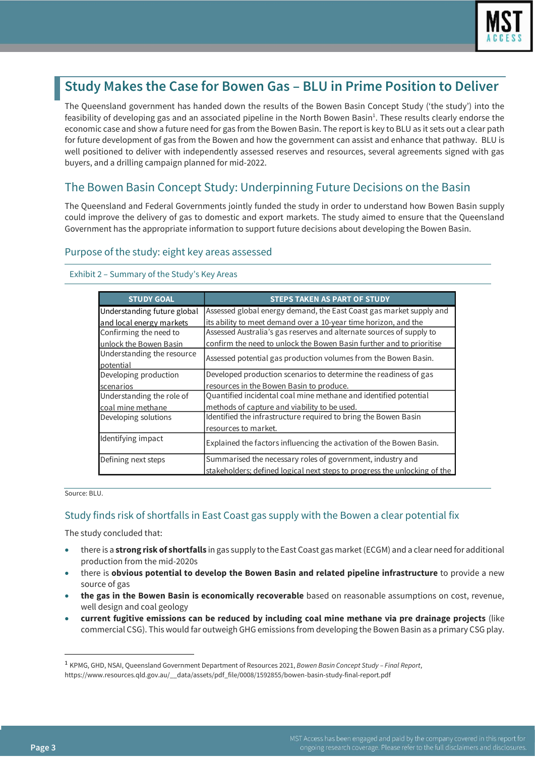

# **Study Makes the Case for Bowen Gas – BLU in Prime Position to Deliver**

The Queensland government has handed down the results of the Bowen Basin Concept Study ('the study') into the feasibility of developing gas and an associated pipeline in the North Bowen Basin<sup>1</sup>. These results clearly endorse the economic case and show a future need for gas from the Bowen Basin. The report is key to BLU as it sets out a clear path for future development of gas from the Bowen and how the government can assist and enhance that pathway. BLU is well positioned to deliver with independently assessed reserves and resources, several agreements signed with gas buyers, and a drilling campaign planned for mid-2022.

## The Bowen Basin Concept Study: Underpinning Future Decisions on the Basin

The Queensland and Federal Governments jointly funded the study in order to understand how Bowen Basin supply could improve the delivery of gas to domestic and export markets. The study aimed to ensure that the Queensland Government has the appropriate information to support future decisions about developing the Bowen Basin.

## Purpose of the study: eight key areas assessed

Exhibit 2 – Summary of the Study's Key Areas

| <b>STUDY GOAL</b>           | <b>STEPS TAKEN AS PART OF STUDY</b>                                       |
|-----------------------------|---------------------------------------------------------------------------|
| Understanding future global | Assessed global energy demand, the East Coast gas market supply and       |
| and local energy markets    | its ability to meet demand over a 10-year time horizon, and the           |
| Confirming the need to      | Assessed Australia's gas reserves and alternate sources of supply to      |
| unlock the Bowen Basin      | confirm the need to unlock the Bowen Basin further and to prioritise      |
| Understanding the resource  | Assessed potential gas production volumes from the Bowen Basin.           |
| potential                   |                                                                           |
| Developing production       | Developed production scenarios to determine the readiness of gas          |
| scenarios                   | resources in the Bowen Basin to produce.                                  |
| Understanding the role of   | Quantified incidental coal mine methane and identified potential          |
| coal mine methane           | methods of capture and viability to be used.                              |
| Developing solutions        | Identified the infrastructure required to bring the Bowen Basin           |
|                             | resources to market.                                                      |
| Identifying impact          | Explained the factors influencing the activation of the Bowen Basin.      |
| Defining next steps         | Summarised the necessary roles of government, industry and                |
|                             | stakeholders; defined logical next steps to progress the unlocking of the |

Source: BLU.

## Study finds risk of shortfalls in East Coast gas supply with the Bowen a clear potential fix

The study concluded that:

- there is a **strong risk of shortfalls** in gas supply to the East Coast gas market (ECGM) and a clear need for additional production from the mid-2020s
- there is **obvious potential to develop the Bowen Basin and related pipeline infrastructure** to provide a new source of gas
- **the gas in the Bowen Basin is economically recoverable** based on reasonable assumptions on cost, revenue, well design and coal geology
- **current fugitive emissions can be reduced by including coal mine methane via pre drainage projects** (like commercial CSG). This would far outweigh GHG emissions from developing the Bowen Basin as a primary CSG play.

<sup>1</sup> KPMG, GHD, NSAI, Queensland Government Department of Resources 2021, *Bowen Basin Concept Study – Final Report*, https://www.resources.qld.gov.au/\_\_data/assets/pdf\_file/0008/1592855/bowen-basin-study-final-report.pdf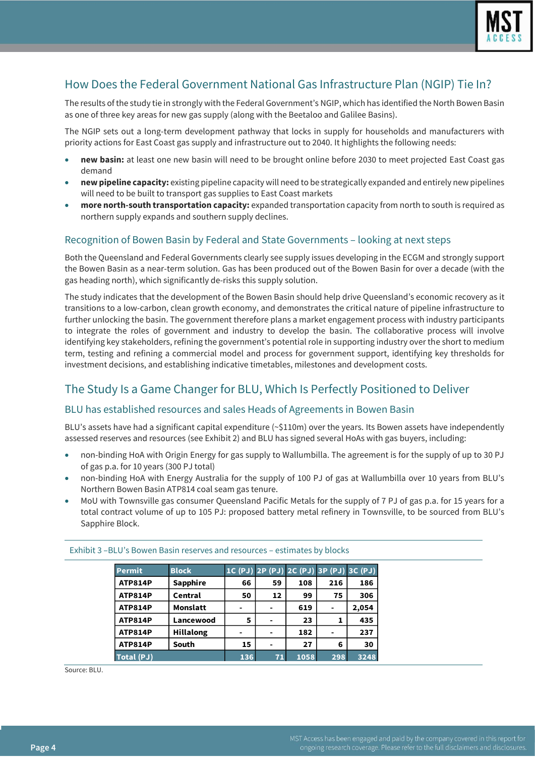

## How Does the Federal Government National Gas Infrastructure Plan (NGIP) Tie In?

The results of the study tie in strongly with the Federal Government's NGIP, which has identified the North Bowen Basin as one of three key areas for new gas supply (along with the Beetaloo and Galilee Basins).

The NGIP sets out a long-term development pathway that locks in supply for households and manufacturers with priority actions for East Coast gas supply and infrastructure out to 2040. It highlights the following needs:

- **new basin:** at least one new basin will need to be brought online before 2030 to meet projected East Coast gas demand
- **new pipeline capacity:** existing pipeline capacity will need to be strategically expanded and entirely new pipelines will need to be built to transport gas supplies to East Coast markets
- **more north-south transportation capacity:** expanded transportation capacity from north to south is required as northern supply expands and southern supply declines.

## Recognition of Bowen Basin by Federal and State Governments – looking at next steps

Both the Queensland and Federal Governments clearly see supply issues developing in the ECGM and strongly support the Bowen Basin as a near-term solution. Gas has been produced out of the Bowen Basin for over a decade (with the gas heading north), which significantly de-risks this supply solution.

The study indicates that the development of the Bowen Basin should help drive Queensland's economic recovery as it transitions to a low-carbon, clean growth economy, and demonstrates the critical nature of pipeline infrastructure to further unlocking the basin. The government therefore plans a market engagement process with industry participants to integrate the roles of government and industry to develop the basin. The collaborative process will involve identifying key stakeholders, refining the government's potential role in supporting industry over the short to medium term, testing and refining a commercial model and process for government support, identifying key thresholds for investment decisions, and establishing indicative timetables, milestones and development costs.

## The Study Is a Game Changer for BLU, Which Is Perfectly Positioned to Deliver

## BLU has established resources and sales Heads of Agreements in Bowen Basin

BLU's assets have had a significant capital expenditure (~\$110m) over the years. Its Bowen assets have independently assessed reserves and resources (see Exhibit 2) and BLU has signed several HoAs with gas buyers, including:

- non-binding HoA with Origin Energy for gas supply to Wallumbilla. The agreement is for the supply of up to 30 PJ of gas p.a. for 10 years (300 PJ total)
- non-binding HoA with Energy Australia for the supply of 100 PJ of gas at Wallumbilla over 10 years from BLU's Northern Bowen Basin ATP814 coal seam gas tenure.
- MoU with Townsville gas consumer Queensland Pacific Metals for the supply of 7 PJ of gas p.a. for 15 years for a total contract volume of up to 105 PJ: proposed battery metal refinery in Townsville, to be sourced from BLU's Sapphire Block.

| <b>Permit</b>  | <b>Block</b>     |     |    | 1C (PJ) 2P (PJ) 2C (PJ) 3P (PJ) 3C (PJ) |     |       |
|----------------|------------------|-----|----|-----------------------------------------|-----|-------|
| <b>ATP814P</b> | <b>Sapphire</b>  | 66  | 59 | 108                                     | 216 | 186   |
| <b>ATP814P</b> | Central          | 50  | 12 | 99                                      | 75  | 306   |
| <b>ATP814P</b> | <b>Monslatt</b>  | -   |    | 619                                     |     | 2,054 |
| <b>ATP814P</b> | Lancewood        | 5   |    | 23                                      |     | 435   |
| <b>ATP814P</b> | <b>Hillalong</b> |     |    | 182                                     |     | 237   |
| <b>ATP814P</b> | South            | 15  |    | 27                                      | 6   | 30    |
| Total (PJ)     |                  | 136 | 71 | 1058                                    | 298 | 3248  |

Exhibit 3 –BLU's Bowen Basin reserves and resources – estimates by blocks

Source: BLU.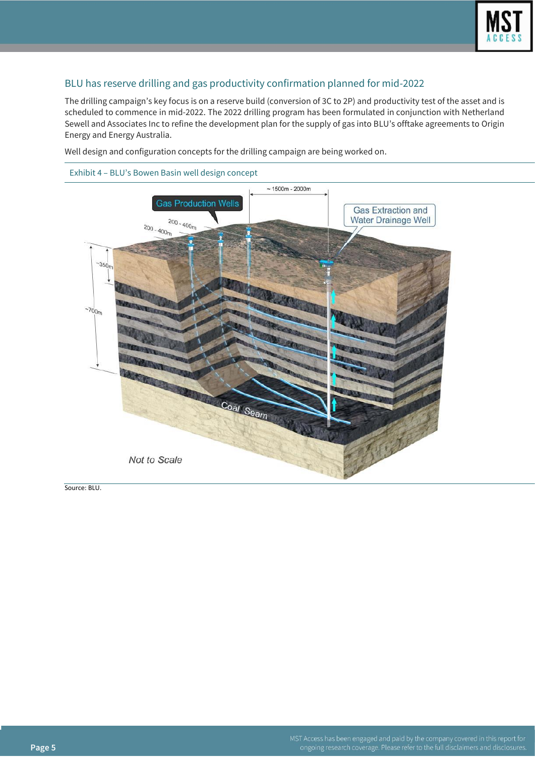

## BLU has reserve drilling and gas productivity confirmation planned for mid-2022

The drilling campaign's key focus is on a reserve build (conversion of 3C to 2P) and productivity test of the asset and is scheduled to commence in mid-2022. The 2022 drilling program has been formulated in conjunction with Netherland Sewell and Associates Inc to refine the development plan for the supply of gas into BLU's offtake agreements to Origin Energy and Energy Australia.

Well design and configuration concepts for the drilling campaign are being worked on.



Source: BLU.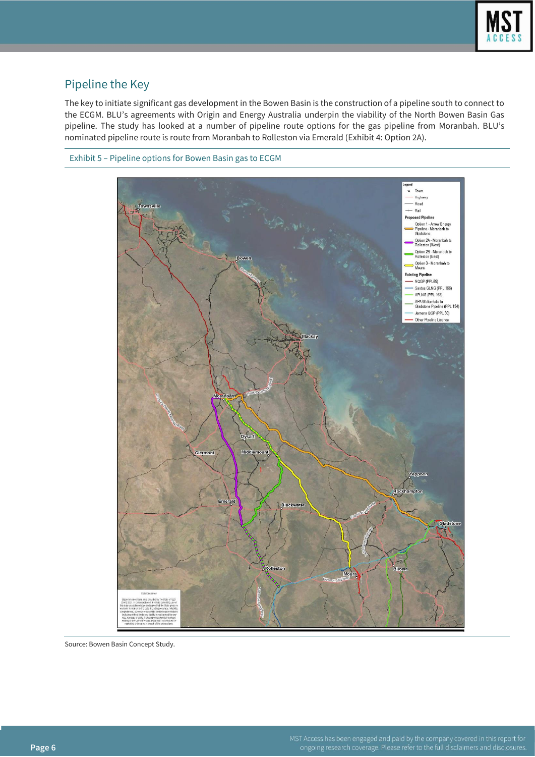

## Pipeline the Key

The key to initiate significant gas development in the Bowen Basin is the construction of a pipeline south to connect to the ECGM. BLU's agreements with Origin and Energy Australia underpin the viability of the North Bowen Basin Gas pipeline. The study has looked at a number of pipeline route options for the gas pipeline from Moranbah. BLU's nominated pipeline route is route from Moranbah to Rolleston via Emerald (Exhibit 4: Option 2A).





Source: Bowen Basin Concept Study.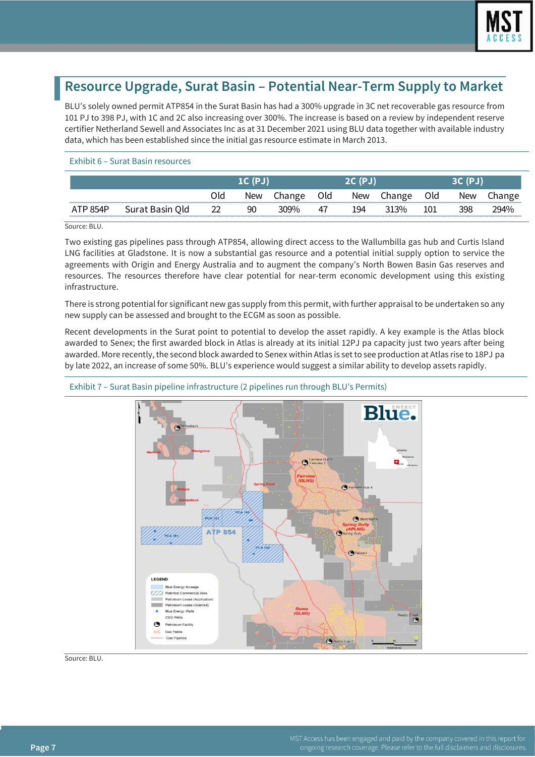

# **Resource Upgrade, Surat Basin – Potential Near-Term Supply to Market**

BLU's solely owned permit ATP854 in the Surat Basin has had a 300% upgrade in 3C net recoverable gas resource from 101 PJ to 398 PJ, with 1C and 2C also increasing over 300%. The increase is based on a review by independent reserve certifier Netherland Sewell and Associates Inc as at 31 December 2021 using BLU data together with available industry data, which has been established since the initial gas resource estimate in March 2013.

#### Exhibit 6 – Surat Basin resources

|                                                            |                    | Old     | New | `hange | Old | New | าange           | Old | New |      |
|------------------------------------------------------------|--------------------|---------|-----|--------|-----|-----|-----------------|-----|-----|------|
| <b><i>NEW YORK OF THE STATE WAY TO PERSON FROM THE</i></b> | Qld<br>Surat Basin | າາ<br>ᅩ | 90  | ი9%    | 41  | 194 | 30 <sub>0</sub> | 101 | 398 | 94%، |

Source: BLU.

Two existing gas pipelines pass through ATP854, allowing direct access to the Wallumbilla gas hub and Curtis Island LNG facilities at Gladstone. It is now a substantial gas resource and a potential initial supply option to service the agreements with Origin and Energy Australia and to augment the company's North Bowen Basin Gas reserves and resources. The resources therefore have clear potential for near-term economic development using this existing infrastructure.

There is strong potential for significant new gas supply from this permit, with further appraisal to be undertaken so any new supply can be assessed and brought to the ECGM as soon as possible.

Recent developments in the Surat point to potential to develop the asset rapidly. A key example is the Atlas block awarded to Senex; the first awarded block in Atlas is already at its initial 12PJ pa capacity just two years after being awarded. More recently, the second block awarded to Senex within Atlas is set to see production at Atlas rise to 18PJ pa by late 2022, an increase of some 50%. BLU's experience would suggest a similar ability to develop assets rapidly.



## Exhibit 7 – Surat Basin pipeline infrastructure (2 pipelines run through BLU's Permits)

Source: BLU.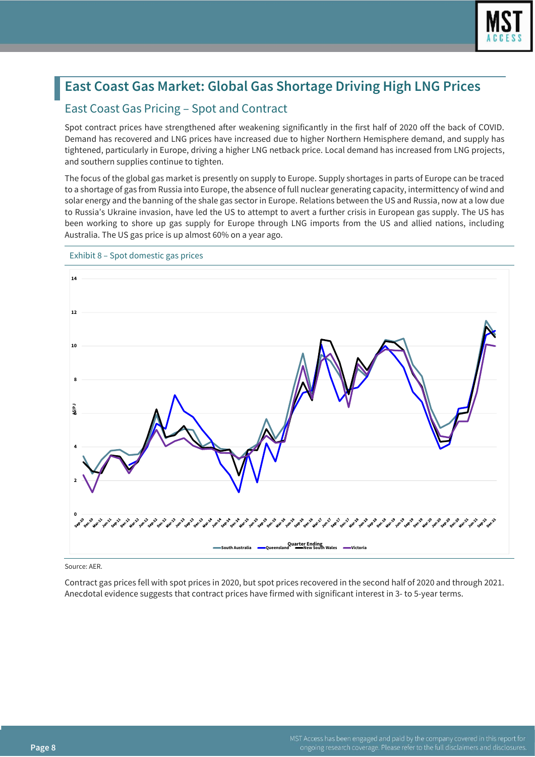

# **East Coast Gas Market: Global Gas Shortage Driving High LNG Prices**

## East Coast Gas Pricing – Spot and Contract

Spot contract prices have strengthened after weakening significantly in the first half of 2020 off the back of COVID. Demand has recovered and LNG prices have increased due to higher Northern Hemisphere demand, and supply has tightened, particularly in Europe, driving a higher LNG netback price. Local demand has increased from LNG projects, and southern supplies continue to tighten.

The focus of the global gas market is presently on supply to Europe. Supply shortages in parts of Europe can be traced to a shortage of gas from Russia into Europe, the absence of full nuclear generating capacity, intermittency of wind and solar energy and the banning of the shale gas sector in Europe. Relations between the US and Russia, now at a low due to Russia's Ukraine invasion, have led the US to attempt to avert a further crisis in European gas supply. The US has been working to shore up gas supply for Europe through LNG imports from the US and allied nations, including Australia. The US gas price is up almost 60% on a year ago.



Exhibit 8 – Spot domestic gas prices

Source: AER.

Contract gas prices fell with spot prices in 2020, but spot prices recovered in the second half of 2020 and through 2021. Anecdotal evidence suggests that contract prices have firmed with significant interest in 3- to 5-year terms.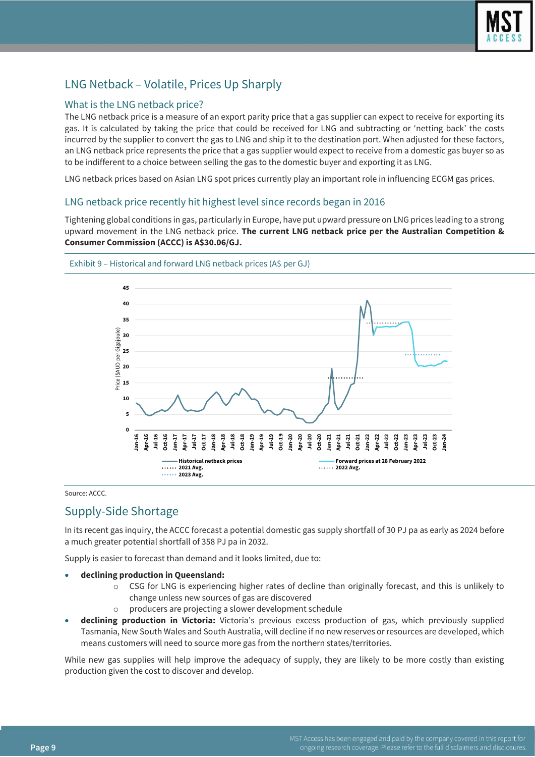

## LNG Netback – Volatile, Prices Up Sharply

## What is the LNG netback price?

The LNG netback price is a measure of an export parity price that a gas supplier can expect to receive for exporting its gas. It is calculated by taking the price that could be received for LNG and subtracting or 'netting back' the costs incurred by the supplier to convert the gas to LNG and ship it to the destination port. When adjusted for these factors, an LNG netback price represents the price that a gas supplier would expect to receive from a domestic gas buyer so as to be indifferent to a choice between selling the gas to the domestic buyer and exporting it as LNG.

LNG netback prices based on Asian LNG spot prices currently play an important role in influencing ECGM gas prices.

## LNG netback price recently hit highest level since records began in 2016

Tightening global conditions in gas, particularly in Europe, have put upward pressure on LNG prices leading to a strong upward movement in the LNG netback price. **The current LNG netback price per the Australian Competition & Consumer Commission (ACCC) is A\$30.06/GJ.**



Exhibit 9 – Historical and forward LNG netback prices (A\$ per GJ)

Source: ACCC.

## Supply-Side Shortage

In its recent gas inquiry, the ACCC forecast a potential domestic gas supply shortfall of 30 PJ pa as early as 2024 before a much greater potential shortfall of 358 PJ pa in 2032.

Supply is easier to forecast than demand and it looks limited, due to:

- **declining production in Queensland:** 
	- o CSG for LNG is experiencing higher rates of decline than originally forecast, and this is unlikely to change unless new sources of gas are discovered
	- producers are projecting a slower development schedule
- **declining production in Victoria:** Victoria's previous excess production of gas, which previously supplied Tasmania, New South Wales and South Australia, will decline if no new reserves or resources are developed, which means customers will need to source more gas from the northern states/territories.

While new gas supplies will help improve the adequacy of supply, they are likely to be more costly than existing production given the cost to discover and develop.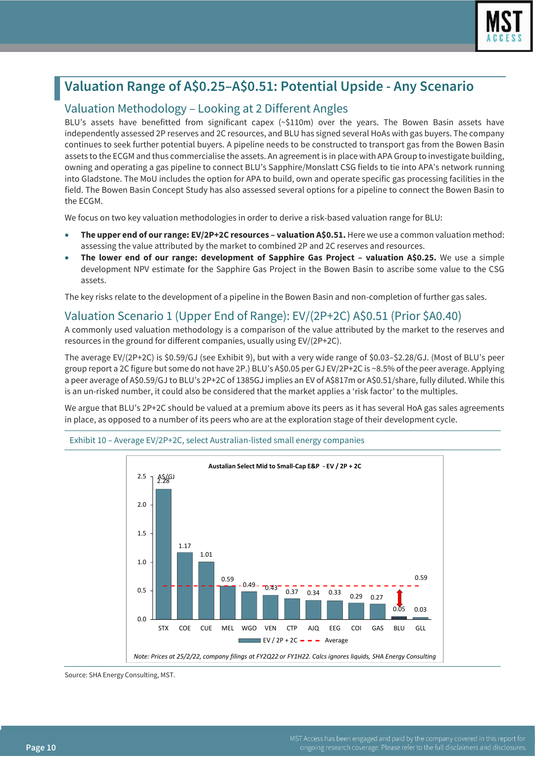

# **Valuation Range of A\$0.25–A\$0.51: Potential Upside - Any Scenario**

## Valuation Methodology – Looking at 2 Different Angles

BLU's assets have benefitted from significant capex (~\$110m) over the years. The Bowen Basin assets have independently assessed 2P reserves and 2C resources, and BLU has signed several HoAs with gas buyers. The company continues to seek further potential buyers. A pipeline needs to be constructed to transport gas from the Bowen Basin assets to the ECGM and thus commercialise the assets. An agreement is in place with APA Group to investigate building, owning and operating a gas pipeline to connect BLU's Sapphire/Monslatt CSG fields to tie into APA's network running into Gladstone. The MoU includes the option for APA to build, own and operate specific gas processing facilities in the field. The Bowen Basin Concept Study has also assessed several options for a pipeline to connect the Bowen Basin to the ECGM.

We focus on two key valuation methodologies in order to derive a risk-based valuation range for BLU:

- **The upper end of our range: EV/2P+2C resources – valuation A\$0.51.** Here we use a common valuation method: assessing the value attributed by the market to combined 2P and 2C reserves and resources.
- **The lower end of our range: development of Sapphire Gas Project – valuation A\$0.25.** We use a simple development NPV estimate for the Sapphire Gas Project in the Bowen Basin to ascribe some value to the CSG assets.

The key risks relate to the development of a pipeline in the Bowen Basin and non-completion of further gas sales.

## Valuation Scenario 1 (Upper End of Range): EV/(2P+2C) A\$0.51 (Prior \$A0.40)

A commonly used valuation methodology is a comparison of the value attributed by the market to the reserves and resources in the ground for different companies, usually using EV/(2P+2C).

The average EV/(2P+2C) is \$0.59/GJ (see Exhibit 9), but with a very wide range of \$0.03–\$2.28/GJ. (Most of BLU's peer group report a 2C figure but some do not have 2P.) BLU's A\$0.05 per GJ EV/2P+2C is ~8.5% of the peer average. Applying a peer average of A\$0.59/GJ to BLU's 2P+2C of 1385GJ implies an EV of A\$817m or A\$0.51/share, fully diluted. While this is an un-risked number, it could also be considered that the market applies a 'risk factor' to the multiples.

We argue that BLU's 2P+2C should be valued at a premium above its peers as it has several HoA gas sales agreements in place, as opposed to a number of its peers who are at the exploration stage of their development cycle.



#### Exhibit 10 – Average EV/2P+2C, select Australian-listed small energy companies

Source: SHA Energy Consulting, MST.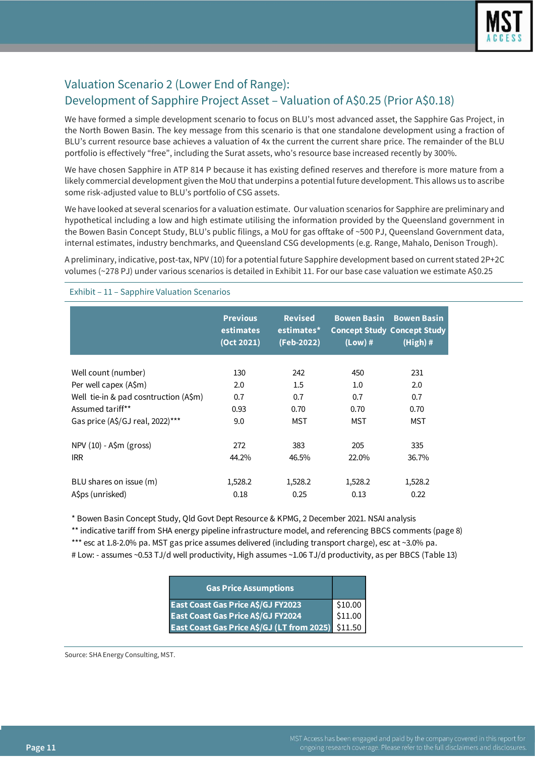

## Valuation Scenario 2 (Lower End of Range): Development of Sapphire Project Asset – Valuation of A\$0.25 (Prior A\$0.18)

We have formed a simple development scenario to focus on BLU's most advanced asset, the Sapphire Gas Project, in the North Bowen Basin. The key message from this scenario is that one standalone development using a fraction of BLU's current resource base achieves a valuation of 4x the current the current share price. The remainder of the BLU portfolio is effectively "free", including the Surat assets, who's resource base increased recently by 300%.

We have chosen Sapphire in ATP 814 P because it has existing defined reserves and therefore is more mature from a likely commercial development given the MoU that underpins a potential future development. This allows us to ascribe some risk-adjusted value to BLU's portfolio of CSG assets.

We have looked at several scenarios for a valuation estimate. Our valuation scenarios for Sapphire are preliminary and hypothetical including a low and high estimate utilising the information provided by the Queensland government in the Bowen Basin Concept Study, BLU's public filings, a MoU for gas offtake of ~500 PJ, Queensland Government data, internal estimates, industry benchmarks, and Queensland CSG developments (e.g. Range, Mahalo, Denison Trough).

A preliminary, indicative, post-tax, NPV (10) for a potential future Sapphire development based on current stated 2P+2C volumes (~278 PJ) under various scenarios is detailed in Exhibit 11. For our base case valuation we estimate A\$0.25

|                                       | <b>Previous</b><br>estimates<br>(Oct 2021) | <b>Revised</b><br>estimates*<br>(Feb-2022) | <b>Bowen Basin</b><br>$(Low)$ # | <b>Bowen Basin</b><br><b>Concept Study Concept Study</b><br>$(High)$ # |
|---------------------------------------|--------------------------------------------|--------------------------------------------|---------------------------------|------------------------------------------------------------------------|
| Well count (number)                   | 130                                        | 242                                        | 450                             | 231                                                                    |
| Per well capex (A\$m)                 | 2.0                                        | 1.5                                        | 1.0                             | 2.0                                                                    |
| Well tie-in & pad cosntruction (A\$m) | 0.7                                        | 0.7                                        | 0.7                             | 0.7                                                                    |
| Assumed tariff**                      | 0.93                                       | 0.70                                       | 0.70                            | 0.70                                                                   |
| Gas price (A\$/GJ real, 2022)***      | 9.0                                        | <b>MST</b>                                 | <b>MST</b>                      | MST                                                                    |
|                                       |                                            |                                            |                                 |                                                                        |
| $NPV(10) - A$m (gross)$               | 272                                        | 383                                        | 205                             | 335                                                                    |
| <b>IRR</b>                            | 44.2%                                      | 46.5%                                      | 22.0%                           | 36.7%                                                                  |
| BLU shares on issue (m)               | 1,528.2                                    | 1,528.2                                    | 1,528.2                         | 1,528.2                                                                |
| A\$ps (unrisked)                      | 0.18                                       | 0.25                                       | 0.13                            | 0.22                                                                   |

Exhibit – 11 – Sapphire Valuation Scenarios

\* Bowen Basin Concept Study, Qld Govt Dept Resource & KPMG, 2 December 2021. NSAI analysis

\*\* indicative tariff from SHA energy pipeline infrastructure model, and referencing BBCS comments (page 8) \*\*\* esc at 1.8-2.0% pa. MST gas price assumes delivered (including transport charge), esc at ~3.0% pa.

# Low: - assumes ~0.53 TJ/d well productivity, High assumes ~1.06 TJ/d productivity, as per BBCS (Table 13)

| <b>Gas Price Assumptions</b>                       |         |
|----------------------------------------------------|---------|
| East Coast Gas Price A\$/GJ FY2023                 | \$10.00 |
| East Coast Gas Price A\$/GJ FY2024                 | \$11.00 |
| East Coast Gas Price A\$/GJ (LT from 2025) \$11.50 |         |

Source: SHA Energy Consulting, MST.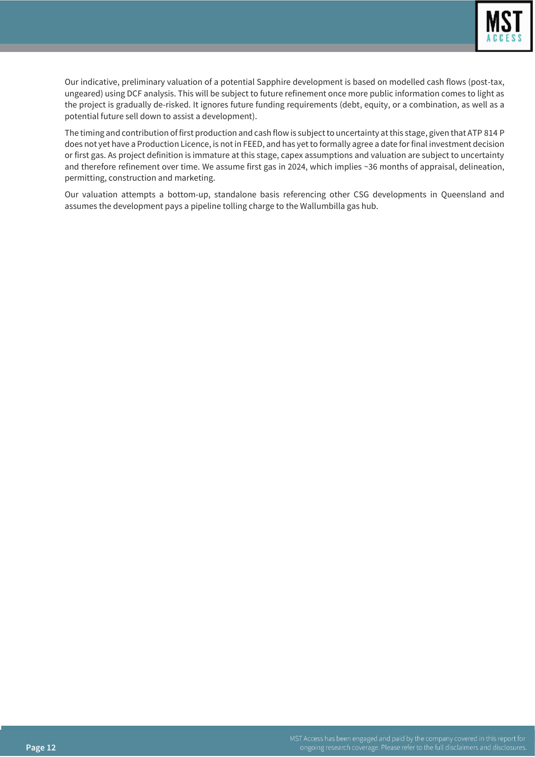

Our indicative, preliminary valuation of a potential Sapphire development is based on modelled cash flows (post-tax, ungeared) using DCF analysis. This will be subject to future refinement once more public information comes to light as the project is gradually de-risked. It ignores future funding requirements (debt, equity, or a combination, as well as a potential future sell down to assist a development).

The timing and contribution of first production and cash flow is subject to uncertainty at this stage, given that ATP 814 P does not yet have a Production Licence, is not in FEED, and has yet to formally agree a date for final investment decision or first gas. As project definition is immature at this stage, capex assumptions and valuation are subject to uncertainty and therefore refinement over time. We assume first gas in 2024, which implies ~36 months of appraisal, delineation, permitting, construction and marketing.

Our valuation attempts a bottom-up, standalone basis referencing other CSG developments in Queensland and assumes the development pays a pipeline tolling charge to the Wallumbilla gas hub.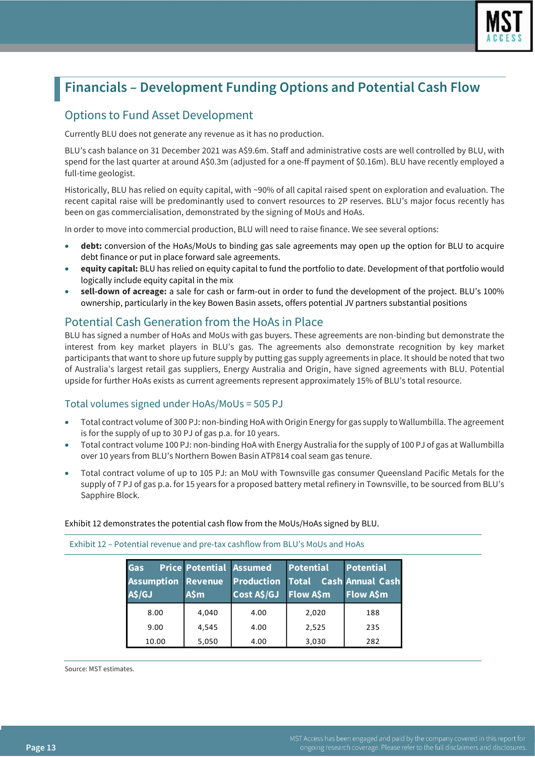

# **Financials – Development Funding Options and Potential Cash Flow**

## Options to Fund Asset Development

Currently BLU does not generate any revenue as it has no production.

BLU's cash balance on 31 December 2021 was A\$9.6m. Staff and administrative costs are well controlled by BLU, with spend for the last quarter at around A\$0.3m (adjusted for a one-ff payment of \$0.16m). BLU have recently employed a full-time geologist.

Historically, BLU has relied on equity capital, with ~90% of all capital raised spent on exploration and evaluation. The recent capital raise will be predominantly used to convert resources to 2P reserves. BLU's major focus recently has been on gas commercialisation, demonstrated by the signing of MoUs and HoAs.

In order to move into commercial production, BLU will need to raise finance. We see several options:

- **debt:** conversion of the HoAs/MoUs to binding gas sale agreements may open up the option for BLU to acquire debt finance or put in place forward sale agreements.
- **equity capital:** BLU has relied on equity capital to fund the portfolio to date. Development of that portfolio would logically include equity capital in the mix
- **sell-down of acreage:** a sale for cash or farm-out in order to fund the development of the project. BLU's 100% ownership, particularly in the key Bowen Basin assets, offers potential JV partners substantial positions

## Potential Cash Generation from the HoAs in Place

BLU has signed a number of HoAs and MoUs with gas buyers. These agreements are non-binding but demonstrate the interest from key market players in BLU's gas. The agreements also demonstrate recognition by key market participants that want to shore up future supply by putting gas supply agreements in place. It should be noted that two of Australia's largest retail gas suppliers, Energy Australia and Origin, have signed agreements with BLU. Potential upside for further HoAs exists as current agreements represent approximately 15% of BLU's total resource.

## Total volumes signed under HoAs/MoUs = 505 PJ

- Total contract volume of 300 PJ: non-binding HoA with Origin Energy for gas supply to Wallumbilla. The agreement is for the supply of up to 30 PJ of gas p.a. for 10 years.
- Total contract volume 100 PJ: non-binding HoA with Energy Australia for the supply of 100 PJ of gas at Wallumbilla over 10 years from BLU's Northern Bowen Basin ATP814 coal seam gas tenure.
- Total contract volume of up to 105 PJ: an MoU with Townsville gas consumer Queensland Pacific Metals for the supply of 7 PJ of gas p.a. for 15 years for a proposed battery metal refinery in Townsville, to be sourced from BLU's Sapphire Block.

Exhibit 12 demonstrates the potential cash flow from the MoUs/HoAs signed by BLU.

| <b>Gas</b><br><b>Assumption Revenue</b><br>A\$/GJ | <b>Price Potential Assumed</b><br>A\$m | <b>Production</b><br>Cost A\$/GJ Flow A\$m | <b>Potential</b><br>Total Cash Annual Cash | Potential<br><b>Flow A\$m</b> |
|---------------------------------------------------|----------------------------------------|--------------------------------------------|--------------------------------------------|-------------------------------|
| 8.00                                              | 4,040                                  | 4.00                                       | 2,020                                      | 188                           |
| 9.00                                              | 4,545                                  | 4.00                                       | 2,525                                      | 235                           |
| 10.00                                             | 5,050                                  | 4.00                                       | 3,030                                      | 282                           |

Exhibit 12 – Potential revenue and pre-tax cashflow from BLU's MoUs and HoAs

Source: MST estimates.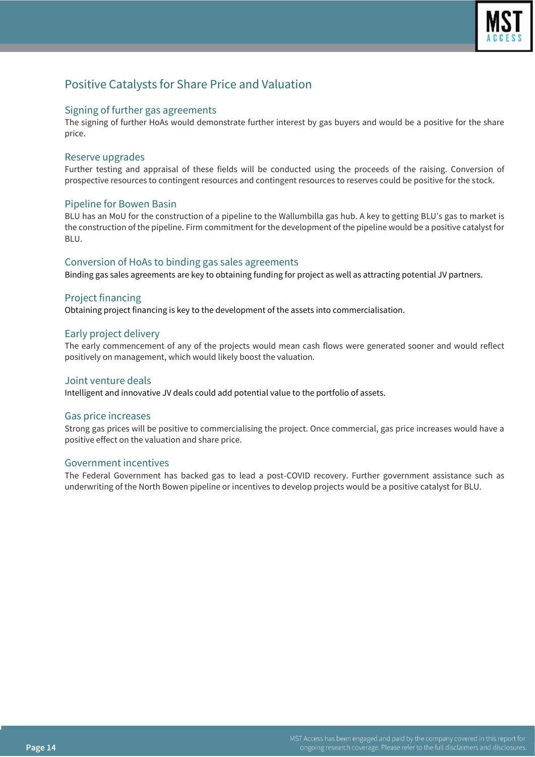

## Positive Catalysts for Share Price and Valuation

#### Signing of further gas agreements

The signing of further HoAs would demonstrate further interest by gas buyers and would be a positive for the share price.

### Reserve upgrades

Further testing and appraisal of these fields will be conducted using the proceeds of the raising. Conversion of prospective resources to contingent resources and contingent resources to reserves could be positive for the stock.

### Pipeline for Bowen Basin

BLU has an MoU for the construction of a pipeline to the Wallumbilla gas hub. A key to getting BLU's gas to market is the construction of the pipeline. Firm commitment for the development of the pipeline would be a positive catalyst for BLU.

### Conversion of HoAs to binding gas sales agreements

Binding gas sales agreements are key to obtaining funding for project as well as attracting potential JV partners.

### Project financing

Obtaining project financing is key to the development of the assets into commercialisation.

### Early project delivery

The early commencement of any of the projects would mean cash flows were generated sooner and would reflect positively on management, which would likely boost the valuation.

#### Joint venture deals

Intelligent and innovative JV deals could add potential value to the portfolio of assets.

#### Gas price increases

Strong gas prices will be positive to commercialising the project. Once commercial, gas price increases would have a positive effect on the valuation and share price.

#### Government incentives

The Federal Government has backed gas to lead a post-COVID recovery. Further government assistance such as underwriting of the North Bowen pipeline or incentives to develop projects would be a positive catalyst for BLU.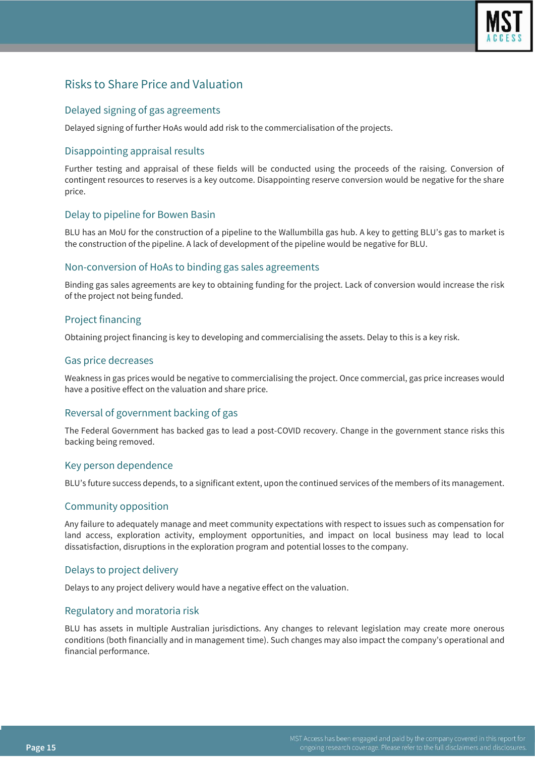

## Risks to Share Price and Valuation

## Delayed signing of gas agreements

Delayed signing of further HoAs would add risk to the commercialisation of the projects.

## Disappointing appraisal results

Further testing and appraisal of these fields will be conducted using the proceeds of the raising. Conversion of contingent resources to reserves is a key outcome. Disappointing reserve conversion would be negative for the share price.

## Delay to pipeline for Bowen Basin

BLU has an MoU for the construction of a pipeline to the Wallumbilla gas hub. A key to getting BLU's gas to market is the construction of the pipeline. A lack of development of the pipeline would be negative for BLU.

#### Non-conversion of HoAs to binding gas sales agreements

Binding gas sales agreements are key to obtaining funding for the project. Lack of conversion would increase the risk of the project not being funded.

## Project financing

Obtaining project financing is key to developing and commercialising the assets. Delay to this is a key risk.

#### Gas price decreases

Weakness in gas prices would be negative to commercialising the project. Once commercial, gas price increases would have a positive effect on the valuation and share price.

## Reversal of government backing of gas

The Federal Government has backed gas to lead a post-COVID recovery. Change in the government stance risks this backing being removed.

### Key person dependence

BLU's future success depends, to a significant extent, upon the continued services of the members of its management.

### Community opposition

Any failure to adequately manage and meet community expectations with respect to issues such as compensation for land access, exploration activity, employment opportunities, and impact on local business may lead to local dissatisfaction, disruptions in the exploration program and potential losses to the company.

### Delays to project delivery

Delays to any project delivery would have a negative effect on the valuation.

### Regulatory and moratoria risk

BLU has assets in multiple Australian jurisdictions. Any changes to relevant legislation may create more onerous conditions (both financially and in management time). Such changes may also impact the company's operational and financial performance.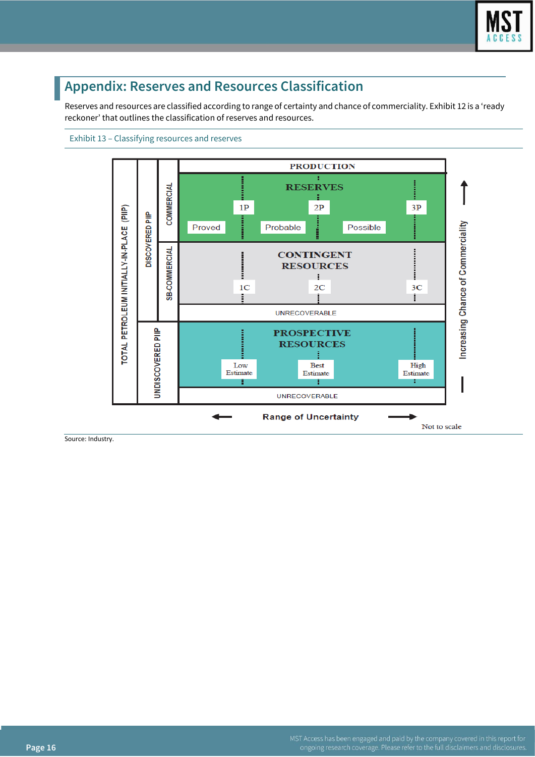

# **Appendix: Reserves and Resources Classification**

Reserves and resources are classified according to range of certainty and chance of commerciality. Exhibit 12 is a 'ready reckoner' that outlines the classification of reserves and resources.





Source: Industry.